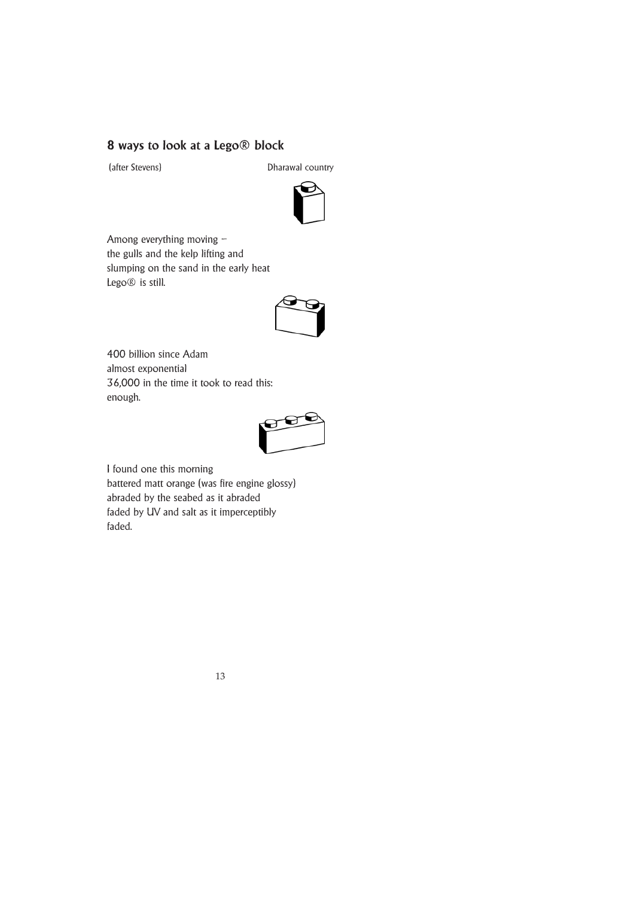## **8 ways to look at a Lego® block**

(after Stevens) Dharawal country



Among everything moving – the gulls and the kelp lifting and slumping on the sand in the early heat Lego® is still.



400 billion since Adam almost exponential 36,000 in the time it took to read this: enough.



I found one this morning battered matt orange (was fire engine glossy) abraded by the seabed as it abraded faded by UV and salt as it imperceptibly faded.

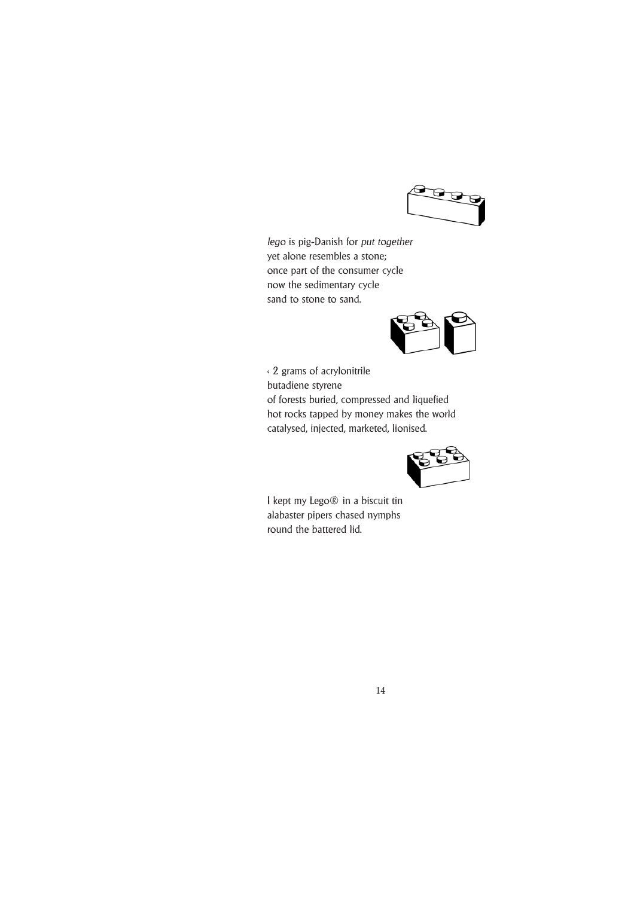

*lego* is pig-Danish for *put together* yet alone resembles a stone; once part of the consumer cycle now the sedimentary cycle sand to stone to sand.



< 2 grams of acrylonitrile butadiene styrene of forests buried, compressed and liquefied hot rocks tapped by money makes the world catalysed, injected, marketed, lionised.



I kept my Lego® in a biscuit tin alabaster pipers chased nymphs round the battered lid.

14